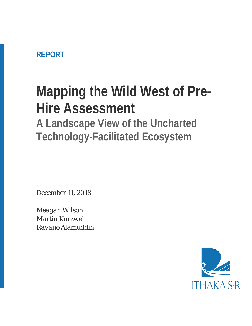### **REPORT**

# **Mapping the Wild West of Pre-Hire Assessment**

**A Landscape View of the Uncharted Technology-Facilitated Ecosystem**

*December 11, 2018*

*Meagan Wilson Martin Kurzweil Rayane Alamuddin*

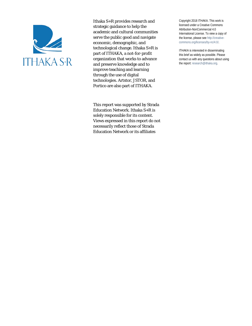

Ithaka S+R provides research and strategic guidance to help the academic and cultural communities serve the public good and navigate economic, demographic, and technological change. Ithaka S+R is part of ITHAKA, a not-for-profit organization that works to advance and preserve knowledge and to improve teaching and learning through the use of digital technologies. Artstor, JSTOR, and Portico are also part of ITHAKA.

This report was supported by Strada Education Network. Ithaka S+R is solely responsible for its content. Views expressed in this report do not necessarily reflect those of Strada Education Network or its affiliates

Copyright 2018 ITHAKA. This work is licensed under a Creative Commons Attribution-NonCommercial 4.0 International License. To view a copy of the license, please see http://creativecommons.org/licenses/by-nc/4.0/.

ITHAKA is interested in disseminating this brief as widely as possible. Please contact us with any questions about using the report: research@ithaka.org.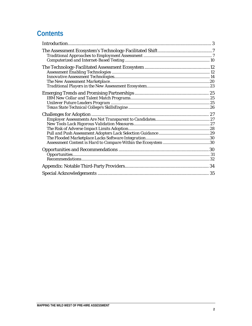### **Contents**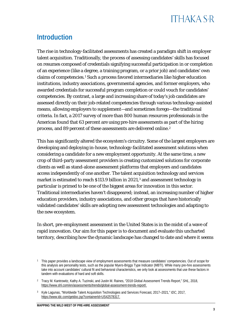### <span id="page-3-0"></span>**Introduction**

The rise in technology-facilitated assessments has created a paradigm shift in employer talent acquisition. Traditionally, the process of assessing candidates' skills has focused on resumes composed of credentials signifying successful participation in or completion of an experience (like a degree, a training program, or a prior job) and candidates' own claims of competencies.[1](#page-3-1) Such a process favored intermediaries like higher education institutions, industry associations, governmental agencies, and former employers, who awarded credentials for successful program completion or could vouch for candidates' competencies. By contrast, a large and increasing share of today's job candidates are assessed directly on their job-related competencies through various technology-assisted means, allowing employers to supplement—and sometimes forego—the traditional criteria. In fact, a 2017 survey of more than 800 human resources professionals in the Americas found that 63 percent are using pre-hire assessments as part of the hiring process, and 89 percent of these assessments are delivered online.<sup>[2](#page-3-2)</sup>

This has significantly altered the ecosystem's circuitry. Some of the largest employers are developing and deploying in-house, technology-facilitated assessment solutions when considering a candidate for a new employment opportunity. At the same time, a new crop of third-party assessment providers is creating customized solutions for corporate clients as well as stand-alone assessment platforms that employers and candidates access independently of one another. The talent acquisition technology and services market is estimated to reach \$11[3](#page-3-3).9 billion in 2021,<sup>3</sup> and assessment technology in particular is primed to be one of the biggest areas for innovation in this sector. Traditional intermediaries haven't disappeared; instead, an increasing number of higher education providers, industry associations, and other groups that have historically validated candidates' skills are adopting new assessment technologies and adapting to the new ecosystem.

In short, pre-employment assessment in the United States is in the midst of a wave of rapid innovation. Our aim for this paper is to document and evaluate this uncharted territory, describing how the dynamic landscape has changed to date and where it seems

<span id="page-3-1"></span><sup>1</sup> This paper provides a landscape view of employment assessments that measure candidates' competencies. Out of scope for this analysis are personality tests, such as the popular Myers-Briggs Type Indicator (MBTI). While many pre-hire assessments take into account candidates' cultural fit and behavioral characteristics, we only look at assessments that use these factors in tandem with evaluations of hard and soft skills.

<span id="page-3-2"></span><sup>2</sup> Tracy M. Kantrowitz, Kathy A. Tuzinski, and Justin M. Raines, "2018 Global Assessment Trends Report," *SHL*, 2018, [https://www.shl.com/en/assessments/trends/global-assessment-trends-report/.](https://www.shl.com/en/assessments/trends/global-assessment-trends-report/) 

<span id="page-3-3"></span><sup>3</sup> Kyle Lagunas, "Worldwide Talent Acquisition Technologies and Services Forecast, 2017–2021," *IDC*, 2017, [https://www.idc.com/getdoc.jsp?containerId=US42578317.](https://www.idc.com/getdoc.jsp?containerId=US42578317)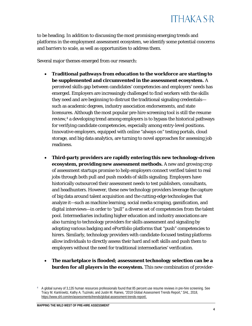

to be heading. In addition to discussing the most promising emerging trends and platforms in the employment assessment ecosystem, we identify some potential concerns and barriers to scale, as well as opportunities to address them.

Several major themes emerged from our research:

- **Traditional pathways from education to the workforce are starting to be supplemented and circumvented in the assessment ecosystem.** A perceived skills gap between candidates' competencies and employers' needs has emerged. Employers are increasingly challenged to find workers with the skills they need and are beginning to distrust the traditional signaling credentials such as academic degrees, industry association endorsements, and state licensures. Although the most popular pre-hire screening tool is still the resume review[,4](#page-4-0) a developing trend among employers is to bypass the historical pathways for verifying candidate competencies, especially among entry-level positions. Innovative employers, equipped with online "always on" testing portals, cloud storage, and big data analytics, are turning to novel approaches for assessing job readiness.
- **Third-party providers are rapidly entering this new technology-driven ecosystem, providing new assessment methods.** A new and growing crop of assessment startups promise to help employers connect verified talent to real jobs through both pull and push models of skills signaling. Employers have historically outsourced their assessment needs to test publishers, consultants, and headhunters. However, these new technology providers leverage the capture of big data around talent acquisition and the cutting-edge technologies that analyze it—such as machine learning, social media scraping, gamification, and digital interviews—in order to "pull" a diverse set of competencies from the talent pool. Intermediaries including higher education and industry associations are also turning to technology providers for skills assessment and signaling by adopting various badging and ePortfolio platforms that "push" competencies to hirers. Similarly, technology providers with candidate-focused testing platforms allow individuals to directly assess their hard and soft skills and push them to employers without the need for traditional intermediaries' verification.
- **The marketplace is flooded; assessment technology selection can be a burden for all players in the ecosystem.** This new combination of provider-

<span id="page-4-0"></span><sup>4</sup> A global survey of 3,135 human resources professionals found that 85 percent use resume reviews in pre-hire screening. See Tracy M. Kantrowitz, Kathy A. Tuzinski, and Justin M. Raines, "2018 Global Assessment Trends Report," *SHL*, 2018, [https://www.shl.com/en/assessments/trends/global-assessment-trends-report/.](https://www.shl.com/en/assessments/trends/global-assessment-trends-report/)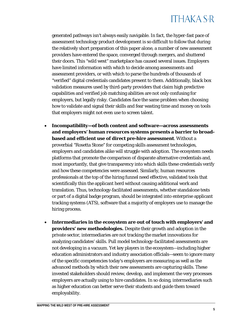## **ITHAKA S-R**

generated pathways isn't always easily navigable. In fact, the hyper-fast pace of assessment technology product development is so difficult to follow that during the relatively short preparation of this paper alone, a number of new assessment providers have entered the space, converged through mergers, and shuttered their doors. This "wild west" marketplace has caused several issues. Employers have limited information with which to decide among assessments and assessment providers, or with which to parse the hundreds of thousands of "verified" digital credentials candidates present to them. Additionally, black box validation measures used by third-party providers that claim high predictive capabilities and verified job matching abilities are not only confusing for employers, but legally risky. Candidates face the same problem when choosing how to validate and signal their skills and fear wasting time and money on tools that employers might not even use to screen talent.

- **Incompatibility—of both content and software—across assessments and employers' human resources systems presents a barrier to broadbased and efficient use of direct pre-hire assessment**. Without a proverbial "Rosetta Stone" for competing skills assessment technologies, employers and candidates alike will struggle with adoption. The ecosystem needs platforms that promote the comparison of disparate alternative credentials and, most importantly, that give transparency into which skills these credentials verify and how these competencies were assessed. Similarly, human resources professionals at the top of the hiring funnel need effective, validated tools that scientifically thin the applicant herd without causing additional work and translation. Thus, technology-facilitated assessments, whether standalone tests or part of a digital badge program, should be integrated into enterprise applicant tracking systems (ATS), software that a majority of employers use to manage the hiring process.
- **Intermediaries in the ecosystem are out of touch with employers' and providers' new methodologies.** Despite their growth and adoption in the private sector, intermediaries are not tracking the market innovations for analyzing candidates' skills. Pull model technology-facilitated assessments are not developing in a vacuum. Yet key players in the ecosystem—including higher education administrators and industry association officials—seem to ignore many of the specific competencies today's employers are measuring as well as the advanced methods by which their new assessments are capturing skills. These invested stakeholders should review, develop, and implement the very processes employers are actually using to hire candidates. In so doing, intermediaries such as higher education can better serve their students and guide them toward employability.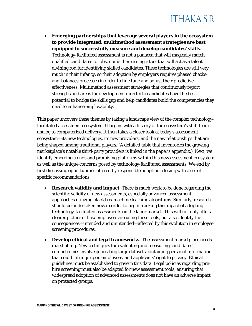• **Emerging partnerships that leverage several players in the ecosystem to provide integrated, multimethod assessment strategies are best equipped to successfully measure and develop candidates' skills.** Technology-facilitated assessment is not a panacea that will magically match qualified candidates to jobs, nor is there a single tool that will act as a talent divining rod for identifying skilled candidates. These technologies are still very much in their infancy, so their adoption by employers requires phased checksand-balances processes in order to fine tune and adjust their predictive effectiveness. Multimethod assessment strategies that continuously report strengths and areas for development directly to candidates have the best potential to bridge the skills gap and help candidates build the competencies they need to enhance employability.

This paper uncovers these themes by taking a landscape view of the complex technologyfacilitated assessment ecosystem. It begins with a history of the ecosystem's shift from analog to computerized delivery. It then takes a closer look at today's assessment ecosystem—its new technologies, its new providers, and the new relationships that are being shaped among traditional players. (A detailed table that inventories the growing marketplace's notable third-party providers is linked in the paper's appendix.) Next, we identify emerging trends and promising platforms within this new assessment ecosystem as well as the unique concerns posed by technology-facilitated assessments. We end by first discussing opportunities offered by responsible adoption, closing with a set of specific recommendations:

- **Research validity and impact.** There is much work to be done regarding the scientific validity of new assessments, especially advanced assessment approaches utilizing black box machine learning algorithms. Similarly, research should be undertaken now in order to begin tracking the impact of adopting technology-facilitated assessments on the labor market. This will not only offer a clearer picture of how employers are using these tools, but also identify the consequences—intended and unintended—affected by this evolution in employee screening procedures.
- **Develop ethical and legal frameworks.** The assessment marketplace needs marshalling. New techniques for evaluating and measuring candidates' competencies involve generating large datasets containing personal information that could infringe upon employees' and applicants' right to privacy. Ethical guidelines must be established to govern this data. Legal policies regarding prehire screening must also be adapted for new assessment tools, ensuring that widespread adoption of advanced assessments does not have an adverse impact on protected groups.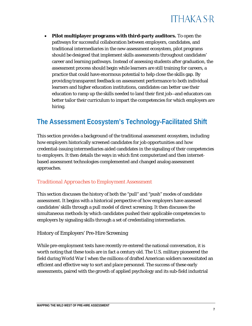

• **Pilot multiplayer programs with third-party auditors.** To open the pathways for successful collaboration between employers, candidates, and traditional intermediaries in the new assessment ecosystem, pilot programs should be designed that implement skills assessments throughout candidates' career and learning pathways. Instead of assessing students after graduation, the assessment process should begin while learners are still training for careers, a practice that could have enormous potential to help close the skills gap. By providing transparent feedback on assessment performance to both individual learners and higher education institutions, candidates can better use their education to ramp up the skills needed to land their first job—and educators can better tailor their curriculum to impart the competencies for which employers are hiring.

### <span id="page-7-0"></span>**The Assessment Ecosystem's Technology-Facilitated Shift**

This section provides a background of the traditional assessment ecosystem, including how employers historically screened candidates for job opportunities and how credential-issuing intermediaries aided candidates in the signaling of their competencies to employers. It then details the ways in which first computerized and then internetbased assessment technologies complemented and changed analog assessment approaches.

#### <span id="page-7-1"></span>*Traditional Approaches to Employment Assessment*

This section discusses the history of both the "pull" and "push" modes of candidate assessment. It begins with a historical perspective of how employers have assessed candidates' skills through a pull model of direct screening. It then discusses the simultaneous methods by which candidates pushed their applicable competencies to employers by signaling skills through a set of credentialing intermediaries.

#### History of Employers' Pre-Hire Screening

While pre-employment tests have recently re-entered the national conversation, it is worth noting that these tools are in fact a century old. The U.S. military pioneered the field during World War I when the millions of drafted American soldiers necessitated an efficient and effective way to sort and place personnel. The success of these early assessments, paired with the growth of applied psychology and its sub-field industrial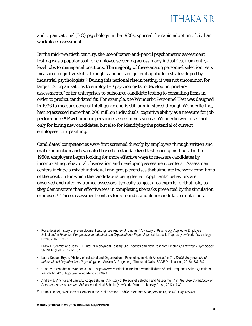

and organizational (I-O) psychology in the 1920s, spurred the rapid adoption of civilian workplace assessment.<sup>[5](#page-8-0)</sup>

By the mid-twentieth century, the use of paper-and-pencil psychometric assessment testing was a popular tool for employee screening across many industries, from entrylevel jobs to managerial positions. The majority of these analog personnel selection tests measured cognitive skills through standardized general aptitude tests developed by industrial psychologists[.6](#page-8-1) During this national rise in testing, it was not uncommon for large U.S. organizations to employ I-O psychologists to develop proprietary assessments,[7](#page-8-2) or for enterprises to outsource candidate testing to consulting firms in order to predict candidates' fit. For example, the Wonderlic Personnel Test was designed in 1936 to measure general intelligence and is still administered through Wonderlic Inc., having assessed more than 200 million individuals' cognitive ability as a measure for job performance.[8](#page-8-3) Psychometric personnel assessments such as Wonderlic were used not only for hiring new candidates, but also for identifying the potential of current employees for upskilling.

Candidates' competencies were first screened directly by employers through written and oral examination and evaluated based on standardized test scoring methods. In the 1950s, employers began looking for more effective ways to measure candidates by incorporating behavioral observation and developing assessment centers.[9](#page-8-4) Assessment centers include a mix of individual and group exercises that simulate the work conditions of the position for which the candidate is being tested. Applicants' behaviors are observed and rated by trained assessors, typically subject area experts for that role, as they demonstrate their effectiveness in completing the tasks presented by the simulation exercises.[10](#page-8-5) These assessment centers foreground standalone candidate simulations,

<span id="page-8-4"></span><sup>9</sup> Andrew J. Vinchur and Laura L. Koppes Bryan, "A History of Personnel Selection and Assessment," in *The Oxford Handbook of Personnel Assessment and Selection*, ed. Neal Schmitt (New York: Oxford University Press, 2012), 9-30.

<span id="page-8-0"></span><sup>&</sup>lt;sup>5</sup> For a detailed history of pre-employment testing, see Andrew J. Vinchur, "A History of Psychology Applied to Employee Selection," in *Historical Perspectives in Industrial and Organizational Psychology*, ed. Laura L. Koppes (New York: Psychology Press, 2007), 193-218.

<span id="page-8-1"></span><sup>6</sup> Frank L. Schmidt and John E. Hunter, "Employment Testing: Old Theories and New Research Findings," *American Psychologist* 36, no.10 (1981): 1128-1137.

<span id="page-8-2"></span><sup>7</sup> Laura Koppes Bryan, "History of Industrial and Organizational Psychology in North America," in *The SAGE Encyclopedia of Industrial and Organizational Psychology*, ed. Steven G. Rogelberg (Thousand Oaks: SAGE Publications, 2016), 637-642.

<span id="page-8-3"></span><sup>8</sup> "History of Wonderlic," Wonderlic*,* 2018[, https://www.wonderlic.com/about-wonderlic/history/](https://www.wonderlic.com/about-wonderlic/history/) and "Frequently Asked Questions," *Wonderlic,* 2018[, https://www.wonderlic.com/faq/.](https://www.wonderlic.com/faq/) 

<span id="page-8-5"></span><sup>10</sup> Dennis Joiner, "Assessment Centers in the Public Sector," *Public Personnel Management* 13, no.4 (1984): 435-450.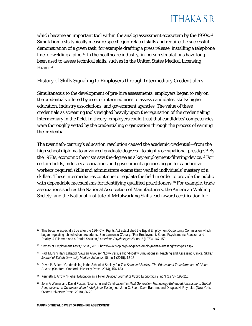which became an important tool within the analog assessment ecosystem by the 1970s.<sup>[11](#page-9-0)</sup> Simulation tests typically measure specific job-related skills and require the successful demonstration of a given task, for example drafting a press release, installing a telephone line, or welding a pipe.[12](#page-9-1) In the healthcare industry, in-person simulations have long been used to assess technical skills, such as in the United States Medical Licensing Exam.[13](#page-9-2)

#### History of Skills Signaling to Employers through Intermediary Credentialers

Simultaneous to the development of pre-hire assessments, employers began to rely on the credentials offered by a set of intermediaries to assess candidates' skills: higher education, industry associations, and government agencies. The value of these credentials as screening tools weighed heavily upon the reputation of the credentialing intermediary in the field. In theory, employers could trust that candidates' competencies were thoroughly vetted by the credentialing organization through the process of earning the credential.

The twentieth-century's education revolution caused the academic credential—from the high school diploma to advanced graduate degrees—to signify occupational prestige.<sup>[14](#page-9-3)</sup> By the 1970s, economic theorists saw the degree as a key employment-filtering device.[15](#page-9-4) For certain fields, industry associations and government agencies began to standardize workers' required skills and administrate exams that verified individuals' mastery of a skillset. These intermediaries continue to regulate the field in order to provide the public with dependable mechanisms for identifying qualified practitioners.<sup>[16](#page-9-5)</sup> For example, trade associations such as the National Association of Manufacturers, the American Welding Society, and the National Institute of Metalworking Skills each award certification for

- <span id="page-9-3"></span><sup>14</sup> David P. Baker, "Credentialing in the Schooled Society," in *The Schooled Society: The Educational Transformation of Global Culture* (Stanford: Stanford University Press, 2014), 156-183.
- <span id="page-9-4"></span><sup>15</sup> Kenneth J. Arrow, "Higher Education as a Filter Device," *Journal of Public Economics* 2, no.3 (1973): 193-216.

<span id="page-9-0"></span><sup>&</sup>lt;sup>11</sup> This became especially true after the 1964 Civil Rights Act established the Equal Employment Opportunity Commission, which began regulating job selection procedures. See Lawrence O'Leary, "Fair Employment, Sound Psychometric Practice, and Reality: A Dilemma and a Partial Solution," *American Psychologist* 28, no. 2 (1973): 147-150.

<span id="page-9-1"></span><sup>12</sup> "Types of Employment Tests," *SIOP*, 2018[, http://www.siop.org/workplace/employment%20testing/testtypes.aspx.](http://www.siop.org/workplace/employment%20testing/testtypes.aspx) 

<span id="page-9-2"></span><sup>13</sup> Fadi Munshi Hani Lababidi Sawsan Alyousef, "Low- Versus High-Fidelity Simulations in Teaching and Assessing Clinical Skills," *Journal of Taibah University Medical Sciences* 10, no.1 (2015): 12-15.

<span id="page-9-5"></span><sup>16</sup> John A Weiner and David Foster, "Licensing and Certification," in *Next Generation Technology-Enhanced Assessment: Global Perspectives on Occupational and Workplace Testing*, ed. John C. Scott, Dave Bartram, and Douglas H. Reynolds (New York: Oxford University Press, 2018), 36-70.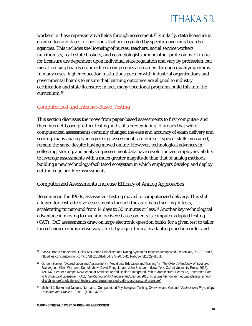

workers in these representative fields through assessment.<sup>[17](#page-10-1)</sup> Similarly, state licensure is granted to candidates for positions that are regulated by specific governing boards or agencies. This includes the licensing of nurses, teachers, social service workers, nutritionists, real estate brokers, and cosmetologists among other professions. Criteria for licensure are dependent upon individual state regulation and vary by profession, but most licensing boards require direct competency assessment through qualifying exams. In many cases, higher education institutions partner with industrial organizations and governmental boards to ensure that learning outcomes are aligned to industry certification and state licensure; in fact, many vocational programs build this into the curriculum[.18](#page-10-2)

#### <span id="page-10-0"></span>*Computerized and Internet-Based Testing*

This section discusses the move from paper-based assessments to first computer- and then internet-based pre-hire testing and skills credentialing. It argues that while computerized assessments certainly changed the ease and accuracy of exam delivery and scoring, many analog typologies (e.g. assessment structure or types of skills measured) remain the same despite having moved online. However, technological advances in collecting, storing, and analyzing assessment data have revolutionized employers' ability to leverage assessments with a much greater magnitude than that of analog methods, building a new technology-facilitated ecosystem in which employers develop and deploy cutting-edge pre-hire assessments.

#### Computerized Assessments Increase Efficacy of Analog Approaches

Beginning in the 1960s, assessment testing moved to computerized delivery. This shift allowed for cost-effective assessments through the automated scoring of tests, accelerating turnaround from 14 days to 30 minutes or less.[19](#page-10-3) Another key technological advantage in moving to machine-delivered assessments is computer adapted testing (CAT). CAT assessments draw on large electronic question banks for a given test to tailor forced-choice exams in two ways: first, by algorithmically adapting question order and

<span id="page-10-1"></span><sup>17</sup> "MSSC Board-Suggested Quality Assurance Guidelines and Rating System for Industry-Recognized Credentials," *MSSC*, 2017, [http://files.constantcontact.com/7b7d1c26101/d754737c-207d-41f1-ab55-cf8f1df29fdf.pdf.](http://files.constantcontact.com/7b7d1c26101/d754737c-207d-41f1-ab55-cf8f1df29fdf.pdf)

<span id="page-10-2"></span><sup>18</sup> Gordon Stanley, "Accreditation and Assessment in Vocational Education and Training," in *The Oxford Handbook of Skills and Training,* ed. Chris Warhurst, Ken Mayhew, David Finegold, and John Buchanan (New York: Oxford University Press, 2017), 124-142. See for example NewSchool of Architecture and Design's Integrated Path to Architectural Licensure, "Integrated Path to Architectural Licensure (IPAL)," *NewSchool of Architecture and Design*, 2018[, https://newschoolarch.edu/academics/school](https://newschoolarch.edu/academics/school-of-architecture/graduate-architecture-programs/integrated-path-to-architectural-licensure/)[of-architecture/graduate-architecture-programs/integrated-path-to-architectural-licensure/.](https://newschoolarch.edu/academics/school-of-architecture/graduate-architecture-programs/integrated-path-to-architectural-licensure/)

<span id="page-10-3"></span><sup>19</sup> Michael J. Burke and Jacques Normand, "Computerized Psychological Testing: Overview and Critique," *Professional Psychology Research and Practice* 18, no.1 (1987): 42-51.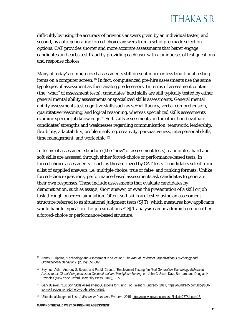difficultly by using the accuracy of previous answers given by an individual tester; and second, by auto-generating forced-choice answers from a set of pre-made selection options. CAT provides shorter and more accurate assessments that better engage candidates and curbs test fraud by providing each user with a unique set of test questions and response choices.

Many of today's computerized assessments still present more or less traditional testing items on a computer screen.<sup>[20](#page-11-0)</sup> In fact, computerized pre-hire assessments use the same typologies of assessment as their analog predecessors. In terms of assessment content (the "what" of assessment tests), candidates' hard skills are still typically tested by either general mental ability assessments or specialized skills assessments. General mental ability assessments test cognitive skills such as verbal fluency, verbal comprehension, quantitative reasoning, and logical reasoning, whereas specialized skills assessments examine specific job knowledge.<sup>[21](#page-11-1)</sup> Soft skills assessments on the other hand evaluate candidates' strengths and weaknesses regarding communication, teamwork, leadership, flexibility, adaptability, problem solving, creativity, persuasiveness, interpersonal skills, time management, and work ethic.<sup>[22](#page-11-2)</sup>

In terms of assessment structure (the "how" of assessment tests), candidates' hard and soft skills are assessed through either forced-choice or performance-based tests. In forced-choice assessments—such as those utilized by CAT tests—candidates select from a list of supplied answers, i.e. multiple choice, true or false, and ranking formats. Unlike forced-choice questions, performance-based assessments ask candidates to generate their own responses. These include assessments that evaluate candidates by demonstration, such as essays, short answer, or even the presentation of a skill or job task through onscreen simulation. Often, soft skills are tested using an assessment structure referred to as situational judgment tests (SJT), which measures how applicants would handle typical on-the-job situations.<sup>[23](#page-11-3)</sup> SJT analysis can be administered in either a forced-choice or performance-based structure.

<span id="page-11-0"></span><sup>20</sup> Nancy T. Tippins, "Technology and Assessment in Selection," *The Annual Review of Organizational Psychology and Organizational Behavior* 2: (2015): 551-582.

<span id="page-11-1"></span><sup>21</sup> Seymour Adler, Anthony S. Boyce, and Pat M. Caputo, "Employment Testing," in *Next Generation Technology-Enhanced Assessment: Global Perspectives on Occupational and Workplace Testing*, ed. John C. Scott, Dave Bartram, and Douglas H. Reynolds (New York: Oxford University Press, 2018), 3-35.

<span id="page-11-2"></span><sup>&</sup>lt;sup>22</sup> Gary Buswell, "100 Soft Skills Assessment Questions for Hiring Top Talent," Hundred5, 2017, [https://hundred5.com/blog/100](https://hundred5.com/blog/100-soft-skills-questions-to-help-you-hire-top-talent) [soft-skills-questions-to-help-you-hire-top-talent.](https://hundred5.com/blog/100-soft-skills-questions-to-help-you-hire-top-talent) 

<span id="page-11-3"></span><sup>23</sup> "Situational Judgment Tests," *Wisconsin Personnel Partners*, 2015[, http://wpp.wi.gov/section.asp?linkid=277&locid=16.](http://wpp.wi.gov/section.asp?linkid=277&locid=16)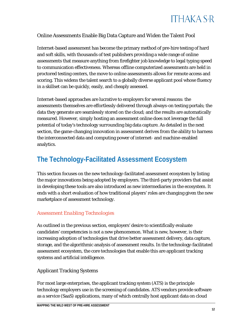

#### Online Assessments Enable Big Data Capture and Widen the Talent Pool

Internet-based assessment has become the primary method of pre-hire testing of hard and soft skills, with thousands of test publishers providing a wide range of online assessments that measure anything from firefighter job knowledge to legal typing speed to communication effectiveness. Whereas offline computerized assessments are held in proctored testing centers, the move to online assessments allows for remote access and scoring. This widens the talent search to a globally diverse applicant pool whose fluency in a skillset can be quickly, easily, and cheaply assessed.

Internet-based approaches are lucrative to employers for several reasons: the assessments themselves are effortlessly delivered through always-on testing portals; the data they generate are seamlessly stored on the cloud; and the results are automatically measured. However, simply hosting an assessment online does not leverage the full potential of today's technology surrounding big data capture. As detailed in the next section, the game-changing innovation in assessment derives from the ability to harness the interconnected data and computing power of internet- and machine-enabled analytics.

### <span id="page-12-0"></span>**The Technology-Facilitated Assessment Ecosystem**

This section focuses on the new technology-facilitated assessment ecosystem by listing the major innovations being adopted by employers. The third-party providers that assist in developing these tools are also introduced as new intermediaries in the ecosystem. It ends with a short evaluation of how traditional players' roles are changing given the new marketplace of assessment technology.

#### <span id="page-12-1"></span>*Assessment Enabling Technologies*

As outlined in the previous section, employers' desire to scientifically evaluate candidates' competencies is not a new phenomenon. What is new, however, is their increasing adoption of technologies that drive better assessment delivery, data capture, storage, and the algorithmic analysis of assessment results. In the technology-facilitated assessment ecosystem, the core technologies that enable this are applicant tracking systems and artificial intelligence.

#### Applicant Tracking Systems

For most large enterprises, the applicant tracking system (ATS) is the principle technology employers use in the screening of candidates. ATS vendors provide software as a service (SaaS) applications, many of which centrally host applicant data on cloud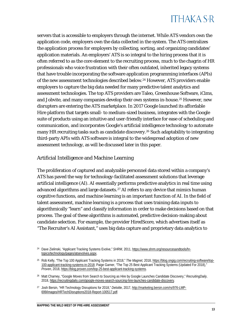servers that is accessible to employers through the internet. While ATS vendors own the application code, employers own the data collected in the system. The ATS centralizes the application process for employers by collecting, sorting, and organizing candidates' application materials. An employers' ATS is so integral to the hiring process that it is often referred to as the core element to the recruiting process, much to the chagrin of HR professionals who voice frustration with their often outdated, inherited legacy systems that have trouble incorporating the software application programming interfaces (APIs) of the new assessment technologies described below.[24](#page-13-0) However, ATS providers enable employers to capture the big data needed for many predictive talent analytics and assessment technologies. The top ATS providers are Taleo, Greenhouse Software, iCims, and Jobvite, and many companies develop their own systems in-house.<sup>[25](#page-13-1)</sup> However, new disrupters are entering the ATS marketplace. In 2017 Google launched its affordable Hire platform that targets small- to medium-sized business, integrates with the Google suite of products using an intuitive and user-friendly interface for ease of scheduling and communication, and incorporates Google's artificial intelligence technology to automate many HR recruiting tasks such as candidate discovery.<sup>[26](#page-13-2)</sup> Such adaptability to integrating third-party APIs with ATS software is integral to the widespread adoption of new assessment technology, as will be discussed later in this paper.

#### Artificial Intelligence and Machine Learning

The proliferation of captured and analyzable personnel data stored within a company's ATS has paved the way for technology-facilitated assessment solutions that leverage artificial intelligence (AI). AI essentially performs predictive analytics in real time using advanced algorithms and large datasets.[27](#page-13-3) AI refers to any device that mimics human cognitive functions, and machine learning is an important function of AI. In the field of talent assessment, machine learning is a process that uses training data inputs to algorithmically "learn" and classify information in order to make decisions based on that process. The goal of these algorithms is automated, predictive decision-making about candidate selection. For example, the provider HiredScore, which advertises itself as "The Recruiter's AI Assistant," uses big data capture and proprietary data analytics to

<span id="page-13-0"></span><sup>24</sup> Dave Zielinski, "Applicant Tracking Systems Evolve," *SHRM,* 2011, [https://www.shrm.org/resourcesandtools/hr](https://www.shrm.org/resourcesandtools/hr-topics/technology/pages/atsevolves.aspx)[topics/technology/pages/atsevolves.aspx.](https://www.shrm.org/resourcesandtools/hr-topics/technology/pages/atsevolves.aspx) 

<span id="page-13-1"></span><sup>25</sup> Rob Kelly, "The Top 100 Applicant Tracking Systems in 2018," *The Magnet,* 2018, [https://blog.ongig.com/recruiting-software/top-](https://blog.ongig.com/recruiting-software/top-100-applicant-tracking-systems-in-2018)[100-applicant-tracking-systems-in-2018;](https://blog.ongig.com/recruiting-software/top-100-applicant-tracking-systems-in-2018) Paige Garner, "The Top 25 Best Applicant Tracking Systems (Updated For 2018)," *Proven*, 2018, [https://blog.proven.com/top-25-best-applicant-tracking-systems.](https://blog.proven.com/top-25-best-applicant-tracking-systems) 

<span id="page-13-2"></span><sup>26</sup> Matt Charney, "Google Moves from Search to Sourcing as Hire by Google Launches Candidate Discovery," *RecruitingDaily,*  2018[, https://recruitingdaily.com/google-moves-search-sourcing-hire-launches-candidate-discovery.](https://recruitingdaily.com/google-moves-search-sourcing-hire-launches-candidate-discovery)

<span id="page-13-3"></span><sup>27</sup> Josh Bersin, "HR Technology Disruptions for 2018," *Deloitte*, 2017, [http://marketing.bersin.com/rs/976-LMP-](http://marketing.bersin.com/rs/976-LMP-699/images/HRTechDisruptions2018-Report-100517.pdf)[699/images/HRTechDisruptions2018-Report-100517.pdf.](http://marketing.bersin.com/rs/976-LMP-699/images/HRTechDisruptions2018-Report-100517.pdf)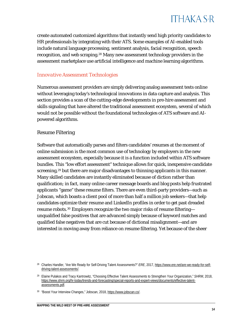

create automated customized algorithms that instantly send high priority candidates to HR professionals by integrating with their ATS. Some examples of AI-enabled tools include natural language processing, sentiment analysis, facial recognition, speech recognition, and web scraping.<sup>[28](#page-14-1)</sup> Many new assessment technology providers in the assessment marketplace use artificial intelligence and machine learning algorithms.

#### <span id="page-14-0"></span>*Innovative Assessment Technologies*

Numerous assessment providers are simply delivering analog assessment tests online without leveraging today's technological innovations in data capture and analysis. This section provides a scan of the cutting-edge developments in pre-hire assessment and skills signaling that have altered the traditional assessment ecosystem, several of which would not be possible without the foundational technologies of ATS software and AIpowered algorithms.

#### Resume Filtering

Software that automatically parses and filters candidates' resumes at the moment of online submission is the most common use of technology by employers in the new assessment ecosystem, especially because it is a function included within ATS software bundles. This "low effort assessment" technique allows for quick, inexpensive candidate screening,<sup>[29](#page-14-2)</sup> but there are major disadvantages to thinning applicants in this manner. Many skilled candidates are instantly eliminated because of diction rather than qualification; in fact, many online career message boards and blog posts help frustrated applicants "game" these resume filters. There are even third-party providers—such as Jobscan, which boasts a client pool of more than half a million job seekers—that help candidates optimize their resume and LinkedIn profiles in order to get past dreaded resume robots.<sup>[30](#page-14-3)</sup> Employers recognize the two major risks of resume filtering unqualified false positives that are advanced simply because of keyword matches and qualified false negatives that are cut because of dictional misalignment—and are interested in moving away from reliance on resume filtering. Yet because of the sheer

<span id="page-14-1"></span><sup>28</sup> Charles Handler, "Are We Ready for Self-Driving Talent Assessments?" *ERE*, 2017[, https://www.ere.net/are-we-ready-for-self](https://www.ere.net/are-we-ready-for-self-driving-talent-assessments/)[driving-talent-assessments/.](https://www.ere.net/are-we-ready-for-self-driving-talent-assessments/) 

<span id="page-14-2"></span><sup>29</sup> Elaine Pulakos and Tracy Kantrowitz, "Choosing Effective Talent Assessments to Strengthen Your Organization," *SHRM*, 2018, [https://www.shrm.org/hr-today/trends-and-forecasting/special-reports-and-expert-views/documents/effective-talent](https://www.shrm.org/hr-today/trends-and-forecasting/special-reports-and-expert-views/documents/effective-talent-assessments.pdf)[assessments.pdf.](https://www.shrm.org/hr-today/trends-and-forecasting/special-reports-and-expert-views/documents/effective-talent-assessments.pdf)

<span id="page-14-3"></span><sup>30</sup> "Boost Your Interview Changes," Jobscan, 2018, [https://www.jobscan.co/.](https://www.jobscan.co/)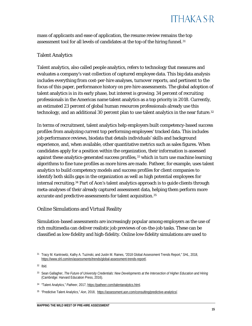

mass of applicants and ease of application, the resume review remains the top assessment tool for all levels of candidates at the top of the hiring funnel.<sup>[31](#page-15-0)</sup>

#### Talent Analytics

Talent analytics, also called people analytics, refers to technology that measures and evaluates a company's vast collection of captured employee data. This big data analysis includes everything from cost-per-hire analyses, turnover reports, and pertinent to the focus of this paper, performance history on pre-hire assessments. The global adoption of talent analytics is in its early phase, but interest is growing; 34 percent of recruiting professionals in the Americas name talent analytics as a top priority in 2018. Currently, an estimated 23 percent of global human resources professionals already use this technology, and an additional 30 percent plan to use talent analytics in the near future.<sup>[32](#page-15-1)</sup>

In terms of recruitment, talent analytics help employers built competency-based success profiles from analyzing current top performing employees' tracked data. This includes job performance reviews, biodata that details individuals' skills and background experience, and, when available, other quantitative metrics such as sales figures. When candidates apply for a position within the organization, their information is assessed against these analytics-generated success profiles,<sup>[33](#page-15-2)</sup> which in turn use machine learning algorithms to fine tune profiles as more hires are made. Patheer, for example, uses talent analytics to build competency models and success profiles for client companies to identify both skills gaps in the organization as well as high potential employees for internal recruiting.<sup>[34](#page-15-3)</sup> Part of Aon's talent analytics approach is to guide clients through meta-analyses of their already captured assessment data, helping them perform more accurate and predictive assessments for talent acquisition.[35](#page-15-4)

#### Online Simulations and Virtual Reality

Simulation-based assessments are increasingly popular among employers as the use of rich multimedia can deliver realistic job previews of on-the-job tasks. These can be classified as low-fidelity and high-fidelity. Online low-fidelity simulations are used to

<span id="page-15-1"></span><sup>32</sup> Ibid.

- <span id="page-15-3"></span><sup>34</sup> "Talent Analytics," *Patheer*, 2017[, https://patheer.com/talentanalytics.html.](https://patheer.com/talentanalytics.html)
- <span id="page-15-4"></span><sup>35</sup> "Predictive Talent Analytics," *Aon,* 2018, [https://assessment.aon.com/consulting/predictive-analytics/.](https://assessment.aon.com/consulting/predictive-analytics/)

<span id="page-15-0"></span><sup>31</sup> Tracy M. Kantrowitz, Kathy A. Tuzinski, and Justin M. Raines, "2018 Global Assessment Trends Report," *SHL*, 2018, [https://www.shl.com/en/assessments/trends/global-assessment-trends-report/.](https://www.shl.com/en/assessments/trends/global-assessment-trends-report/) 

<span id="page-15-2"></span><sup>33</sup> Sean Gallagher, *The Future of University Credentials: New Developments at the Intersection of Higher Education and Hiring* (Cambridge: Harvard Education Press, 2016)*.*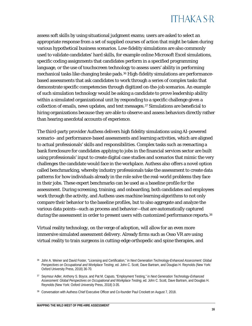assess soft skills by using situational judgment exams; users are asked to select an appropriate response from a set of supplied courses of action that might be taken during various hypothetical business scenarios. Low-fidelity simulations are also commonly used to validate candidates' hard skills, for example online Microsoft Excel simulations, specific coding assignments that candidates perform in a specified programming language, or the use of touchscreen technology to assess users' ability in performing mechanical tasks like changing brake pads.<sup>[36](#page-16-0)</sup> High-fidelity simulations are performancebased assessments that ask candidates to work through a series of complex tasks that demonstrate specific competencies through digitized on-the-job scenarios. An example of such simulation technology would be asking a candidate to prove leadership ability within a simulated organizational unit by responding to a specific challenge given a collection of emails, news updates, and text messages.[37](#page-16-1) Simulations are beneficial to hiring organizations because they are able to observe and assess behaviors directly rather than hearing anecdotal accounts of experience.

The third-party provider Authess delivers high fidelity simulations using AI-powered scenario- and performance-based assessments and learning activities, which are aligned to actual professionals' skills and responsibilities. Complex tasks such as reenacting a bank foreclosure for candidates applying to jobs in the financial services sector are built using professionals' input to create digital case studies and scenarios that mimic the very challenges the candidate would face in the workplace. Authess also offers a novel option called benchmarking, whereby industry professionals take the assessment to create data patterns for how individuals already in the role solve the real-world problems they face in their jobs. These expert benchmarks can be used as a baseline profile for the assessment. During screening, training, and onboarding, both candidates and employees work through the activity, and Authess uses machine learning algorithms to not only compare their behavior to the baseline profiles, but to also aggregate and analyze the various data points—such as process and behavior—that are automatically captured during the assessment in order to present users with customized performance reports.<sup>[38](#page-16-2)</sup>

Virtual reality technology, on the verge of adoption, will allow for an even more immersive simulated assessment delivery. Already firms such as Osso VR are using virtual reality to train surgeons in cutting-edge orthopedic and spine therapies, and

<span id="page-16-0"></span><sup>36</sup> John A. Weiner and David Foster, "Licensing and Certification," in *Next Generation Technology-Enhanced Assessment: Global Perspectives on Occupational and Workplace Testing*, ed. John C. Scott, Dave Bartram, and Douglas H. Reynolds (New York: Oxford University Press, 2018) 36-70*.*

<span id="page-16-1"></span><sup>37</sup> Seymour Adler, Anthony S. Boyce, and Pat M. Caputo, "Employment Testing," in *Next Generation Technology-Enhanced Assessment: Global Perspectives on Occupational and Workplace Testing*, ed. John C. Scott, Dave Bartram, and Douglas H. Reynolds (New York: Oxford University Press, 2018) 3-35*.*

<span id="page-16-2"></span><sup>38</sup> Conversation with Authess Chief Executive Officer and Co-founder Paul Crockett on August 7, 2018.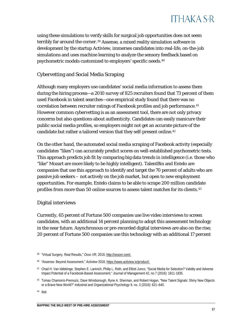

using these simulations to verify skills for surgical job opportunities does not seem terribly far around the corner.<sup>[39](#page-17-0)</sup> Assense, a mixed reality simulation software in development by the startup Actiview, immerses candidates into real-life, on-the-job simulations and uses machine learning to analyze the sensory feedback based on psychometric models customized to employers' specific needs.[40](#page-17-1)

#### Cybervetting and Social Media Scraping

Although many employers use candidates' social media information to assess them during the hiring process—a 2010 survey of 825 recruiters found that 73 percent of them used Facebook in talent searches—one empirical study found that there was no correlation between recruiter ratings of Facebook profiles and job performance.<sup>[41](#page-17-2)</sup> However common cybervetting is as an assessment tool, there are not only privacy concerns but also questions about authenticity. Candidates can easily manicure their public social media profiles, so employers might not get an accurate picture of the candidate but rather a tailored version that they self-present online.<sup>[42](#page-17-3)</sup>

On the other hand, the automated social media scraping of Facebook activity (especially candidates "likes") can accurately predict scores on well-established psychometric tests. This approach predicts job fit by comparing big data trends in intelligence (i.e. those who "like" Mozart are more likely to be highly intelligent). TalentBin and Entelo are companies that use this approach to identify and target the 70 percent of adults who are passive job seekers – not actively on the job market, but open to new employment opportunities. For example, Entelo claims to be able to scrape 200 million candidate profiles from more than 50 online sources to assess talent matches for its clients.<sup>[43](#page-17-4)</sup>

#### Digital interviews

Currently, 65 percent of Fortune 500 companies use live video interviews to screen candidates, with an additional 14 percent planning to adopt this assessment technology in the near future. Asynchronous or pre-recorded digital interviews are also on the rise; 20 percent of Fortune 500 companies use this technology with an additional 17 percent

<span id="page-17-4"></span><sup>43</sup> Ibid.

<span id="page-17-0"></span><sup>39</sup> "Virtual Surgery. Real Results," *Osso VR*, 2018[, http://ossovr.com/.](http://ossovr.com/) 

<span id="page-17-1"></span><sup>40</sup> "Assense: Beyond Assessment," *Actiview* 2018[, https://www.actiview.io/product/.](https://www.actiview.io/product/)

<span id="page-17-2"></span><sup>41</sup> Chad H. Van Iddekinge, Stephen E. Lanivich, Philip L. Roth, and Elliott Junco, "Social Media for Selection? Validity and Adverse Impact Potential of a Facebook-Based Assessment," *Journal of Management* 42, no.7 (2016): 1811-1835.

<span id="page-17-3"></span><sup>42</sup> Tomas Chamorro-Premuzic, Dave Winsborough, Ryne A. Sherman, and Robert Hogan, "New Talent Signals: Shiny New Objects or a Brave New World?" *Industrial and Organizational Psychology* 9, no. 3 (2016): 621–640.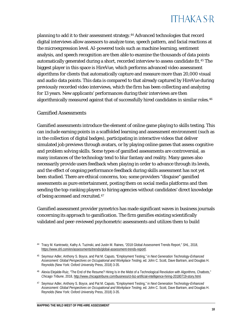planning to add it to their assessment strategy.[44](#page-18-0) Advanced technologies that record digital interviews allow assessors to analyze tone, speech pattern, and facial reactions at the microexpression level. AI-powered tools such as machine learning, sentiment analysis, and speech recognition are then able to examine the thousands of data points automatically generated during a short, recorded interview to assess candidate fit.<sup>[45](#page-18-1)</sup> The biggest player in this space is HireVue, which performs advanced video assessment algorithms for clients that automatically capture and measure more than 20,000 visual and audio data points. This data is compared to that already captured by HireVue during previously recorded video interviews, which the firm has been collecting and analyzing for 13 years. New applicants' performances during their interviews are then algorithmically measured against that of successfully hired candidates in similar roles.<sup>[46](#page-18-2)</sup>

#### Gamified Assessments

Gamified assessments introduce the element of online game playing to skills testing. This can include earning points in a scaffolded learning and assessment environment (such as in the collection of digital badges), participating in interactive videos that deliver simulated job previews through avatars, or by playing online games that assess cognitive and problem solving skills. Some types of gamified assessments are controversial, as many instances of the technology tend to blur fantasy and reality. Many games also necessarily provide users feedback when playing in order to advance through its levels, and the effect of ongoing performance feedback during skills assessment has not yet been studied. There are ethical concerns, too; some providers "disguise" gamified assessments as pure entertainment, posting them on social media platforms and then sending the top-ranking players to hiring agencies without candidates' direct knowledge of being accessed and recruited.[47](#page-18-3)

Gamified assessment provider pymetrics has made significant waves in business journals concerning its approach to gamification. The firm gamifies existing scientifically validated and peer-reviewed psychometric assessments and utilizes them to build

<span id="page-18-0"></span><sup>44</sup> Tracy M. Kantrowitz, Kathy A. Tuzinski, and Justin M. Raines, "2018 Global Assessment Trends Report," *SHL*, 2018, [https://www.shl.com/en/assessments/trends/global-assessment-trends-report/.](https://www.shl.com/en/assessments/trends/global-assessment-trends-report/)

<span id="page-18-1"></span><sup>45</sup> Seymour Adler, Anthony S. Boyce, and Pat M. Caputo, "Employment Testing," in *Next Generation Technology-Enhanced Assessment: Global Perspectives on Occupational and Workplace Testing*, ed. John C. Scott, Dave Bartram, and Douglas H. Reynolds (New York: Oxford University Press, 2018) 3-35*.*

<span id="page-18-2"></span><sup>46</sup> Alexia Elejalde-Ruiz, "The End of the Resume? Hiring Is in the Midst of a Technological Revolution with Algorithms, Chatbots," *Chicago Tribune*, 2018[, http://www.chicagotribune.com/business/ct-biz-artificial-intelligence-hiring-20180719-story.html](http://www.chicagotribune.com/business/ct-biz-artificial-intelligence-hiring-20180719-story.html)*.*

<span id="page-18-3"></span><sup>47</sup> Seymour Adler, Anthony S. Boyce, and Pat M. Caputo, "Employment Testing," in *Next Generation Technology-Enhanced Assessment: Global Perspectives on Occupational and Workplace Testing*, ed. John C. Scott, Dave Bartram, and Douglas H. Reynolds (New York: Oxford University Press, 2018) 3-35.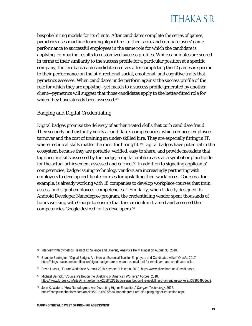

bespoke hiring models for its clients. After candidates complete the series of games, pymetrics uses machine learning algorithms to then score and compare users' game performance to successful employees in the same role for which the candidate is applying, comparing results to customized success profiles. While candidates are scored in terms of their similarity to the success profile for a particular position at a specific company, the feedback each candidate receives after completing the 12 games is specific to their performance on the bi-directional social, emotional, and cognitive traits that pymetrics assesses. When candidates underperform against the success profile of the role for which they are applying—yet match to a success profile generated by another client—pymetrics will suggest that those candidates apply to the better-fitted role for which they have already been assessed.<sup>[48](#page-19-0)</sup>

#### Badging and Digital Credentialing

Digital badges promise the delivery of authenticated skills that curb candidate fraud. They securely and instantly verify a candidate's competencies, which reduces employee turnover and the cost of training an under-skilled hire. They are especially fitting in IT, where technical skills matter the most for hiring fit.<sup>[49](#page-19-1)</sup> Digital badges have potential in the ecosystem because they are portable, verified, easy to share, and provide metadata that tag specific skills assessed by the badge; a digital emblem acts as a symbol or placeholder for the actual achievement assessed and earned.<sup>[50](#page-19-2)</sup> In addition to signaling applicants' competencies, badge-issuing technology vendors are increasingly partnering with employers to develop certificate courses for upskilling their workforces. Coursera, for example, is already working with 18 companies to develop workplace courses that train, assess, and signal employees' competencies. [51](#page-19-3) Similarly, when Udacity designed its Android Developer Nanodegree program, the credentialing vendor spent thousands of hours working with Google to ensure that the curriculum trained and assessed the competencies Google desired for its developers.[52](#page-19-4)

<span id="page-19-0"></span><sup>48</sup> Interview with pymetrics Head of IO Science and Diversity Analytics Kelly Trindel on August 30, 2018.

<span id="page-19-1"></span><sup>49</sup> Brandye Barrington, "Digital Badges Are Now an Essential Tool for Employers and Candidates Alike," *Oracle*, 2017 [https://blogs.oracle.com/certification/digital-badges-are-now-an-essential-tool-for-employers-and-candidates-alike.](https://blogs.oracle.com/certification/digital-badges-are-now-an-essential-tool-for-employers-and-candidates-alike)

<span id="page-19-2"></span><sup>50</sup> David Leaser, "Future Workplace Summit 2018 Keynote," LinkedIn, 2018, [https://www.slideshare.net/DavidLeaser.](https://www.slideshare.net/DavidLeaser) 

<span id="page-19-3"></span><sup>51</sup> Michael Bernick, "Coursera's Bet on the Upskiling of American Workers," *Forbes*, 2018, [https://www.forbes.com/sites/michaelbernick/2018/02/21/courseras-bet-on-the-upskilling-of-american-workers/#3836649b5eb2.](https://www.forbes.com/sites/michaelbernick/2018/02/21/courseras-bet-on-the-upskilling-of-american-workers/#3836649b5eb2) 

<span id="page-19-4"></span><sup>52</sup> John K. Waters, "How Nanodegrees Are Disrupting Higher Education," *Campus Technology*, 2015, [https://campustechnology.com/articles/2015/08/05/how-nanodegrees-are-disrupting-higher-education.aspx.](https://campustechnology.com/articles/2015/08/05/how-nanodegrees-are-disrupting-higher-education.aspx)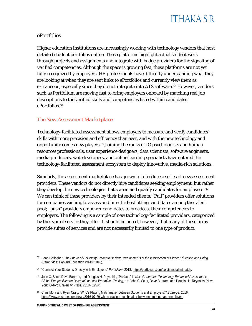## **ITHAKA S-R**

#### ePortfolios

Higher education institutions are increasingly working with technology vendors that host detailed student portfolios online. These platforms highlight actual student work through projects and assignments and integrate with badge providers for the signaling of verified competencies. Although the space is growing fast, these platforms are not yet fully recognized by employers. HR professionals have difficulty understanding what they are looking at when they are sent links to ePortfolios and currently view them as extraneous, especially since they do not integrate into ATS software.<sup>[53](#page-20-1)</sup> However, vendors such as Portfolium are moving fast to bring employers onboard by matching real job descriptions to the verified skills and competencies listed within candidates' ePortfolios.[54](#page-20-2)

#### <span id="page-20-0"></span>*The New Assessment Marketplace*

Technology-facilitated assessment allows employers to measure and verify candidates' skills with more precision and efficiency than ever, and with the new technology and opportunity comes new players.[55](#page-20-3) Joining the ranks of IO psychologists and human resources professionals, user experience designers, data scientists, software engineers, media producers, web developers, and online learning specialists have entered the technology-facilitated assessment ecosystem to deploy innovative, media-rich solutions.

Similarly, the assessment marketplace has grown to introduce a series of new assessment providers. These vendors do not directly hire candidates seeking employment, but rather they develop the new technologies that screen and qualify candidates for employers.<sup>[56](#page-20-4)</sup> We can think of these providers by their intended clients. "Pull" providers offer solutions for companies wishing to assess and hire the best fitting candidates among the talent pool; "push" providers empower candidates to broadcast their competencies to employers. The following is a sample of new technology-facilitated providers, categorized by the type of service they offer. It should be noted, however, that many of these firms provide suites of services and are not necessarily limited to one type of product.

<span id="page-20-1"></span><sup>53</sup> Sean Gallagher, *The Future of University Credentials: New Developments at the Intersection of Higher Education and Hiring* (Cambridge: Harvard Education Press, 2016).

<span id="page-20-2"></span><sup>54</sup> "Connect Your Students Directly with Employers," *Portfolium,* 2018[, https://portfolium.com/solutions/talentmatch.](https://portfolium.com/solutions/talentmatch)

<span id="page-20-3"></span><sup>55</sup> John C. Scott, Dave Bartram, and Douglas H. Reynolds, "Preface," in *Next Generation Technology-Enhanced Assessment: Global Perspectives on Occupational and Workplace Testing*, ed. John C. Scott, Dave Bartram, and Douglas H. Reynolds (New York: Oxford University Press, 2018), *xv-xx.*

<span id="page-20-4"></span><sup>56</sup> Chris Mohr and Ryan Craig, "Who's Playing Matchmaker between Students and Employers?" *EdSurge*, 2016, [https://www.edsurge.com/news/2016-07-29-who-s-playing-matchmaker-between-students-and-employers.](https://www.edsurge.com/news/2016-07-29-who-s-playing-matchmaker-between-students-and-employers)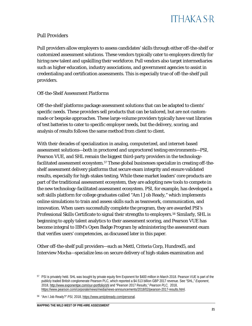

#### Pull Providers

Pull providers allow employers to assess candidates' skills through either off-the-shelf or customized assessment solutions. These vendors typically cater to employers directly for hiring new talent and upskilling their workforce. Pull vendors also target intermediaries such as higher education, industry associations, and government agencies to assist in credentialing and certification assessments. This is especially true of off-the-shelf pull providers.

#### *Off-the-Shelf Assessment Platforms*

Off-the-shelf platforms package assessment solutions that can be adapted to clients' specific needs. These providers sell products that can be tailored, but are not custommade or bespoke approaches. These large-volume providers typically have vast libraries of test batteries to cater to specific employer needs, but the delivery, scoring, and analysis of results follows the same method from client to client.

With their decades of specialization in analog, computerized, and internet-based assessment solutions—both in proctored and unproctored testing environments—PSI, Pearson VUE, and SHL remain the biggest third-party providers in the technologyfacilitated assessment ecosystem.<sup>57</sup> These global businesses specialize in creating off-theshelf assessment delivery platforms that secure exam integrity and ensure validated results, especially for high-stakes testing. While these market leaders' core products are part of the traditional assessment ecosystem, they are adopting new tools to compete in the new technology-facilitated assessment ecosystem. PSI, for example, has developed a soft skills platform for college graduates called "Am I Job Ready," which implements online simulations to train and assess skills such as teamwork, communication, and innovation. When users successfully complete the program, they are awarded PSI's Professional Skills Certificate to signal their strengths to employers.[58](#page-21-1) Similarly, SHL is beginning to apply talent analytics to their assessment scoring, and Pearson VUE has become integral to IBM's Open Badge Program by administering the assessment exam that verifies users' competencies, as discussed later in this paper.

Other off-the-shelf pull providers—such as Mettl, Criteria Corp, Hundred5, and Interview Mocha—specialize less on secure delivery of high-stakes examination and

<span id="page-21-0"></span><sup>57</sup> PSI is privately held. SHL was bought by private equity firm Exponent for \$400 million in March 2018. Pearson VUE is part of the publicly traded British conglomerate Pearson PLC, which reported a \$4.513 billion GBP 2017 revenue. See "SHL," *Exponent*, 2018, <http://www.exponentpe.com/our-portfolio/shl> and "Pearson 2017 Results," *Pearson PLC,* 2018, [https://www.pearson.com/corporate/news/media/news-announcements/2018/02/pearson-2017-results.html.](https://www.pearson.com/corporate/news/media/news-announcements/2018/02/pearson-2017-results.html)

<span id="page-21-1"></span><sup>58</sup> "Am I Job Ready?" *PSI,* 2018, [https://www.amijobready.com/personal.](https://www.amijobready.com/personal)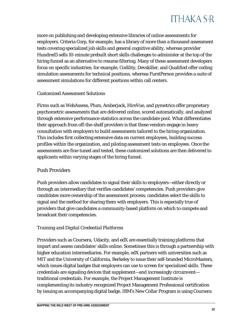

more on publishing and developing extensive libraries of online assessments for employers. Criteria Corp, for example, has a library of more than a thousand assessment tests covering specialized job skills and general cognitive ability, whereas provider Hundred5 sells 10-minute prebuilt short skills challenges to administer at the top of the hiring funnel as an alternative to resume filtering. Many of these assessment developers focus on specific industries; for example, Codility, Devskiller, and Qualified offer coding simulation assessments for technical positions, whereas FurstPerson provides a suite of assessment simulations for different positions within call centers.

#### *Customized Assessment Solutions*

Firms such as WebAssess, Plum, Amberjack, HireVue, and pymetrics offer proprietary psychometric assessments that are delivered online, scored automatically, and analyzed through extensive performance statistics across the candidate pool. What differentiates their approach from off-the-shelf providers is that these vendors engage in heavy consultation with employers to build assessments tailored to the hiring organization. This includes first collecting extensive data on current employees, building success profiles within the organization, and piloting assessment tests on employees. Once the assessments are fine-tuned and tested, these customized solutions are then delivered to applicants within varying stages of the hiring funnel.

#### Push Providers

Push providers allow candidates to signal their skills to employers—either directly or through an intermediary that verifies candidates' competencies. Push providers give candidates more ownership of the assessment process; candidates select the skills to signal and the method for sharing them with employers. This is especially true of providers that give candidates a community-based platform on which to compete and broadcast their competencies.

#### *Training and Digital Credential Platforms*

Providers such as Coursera, Udacity, and edX are essentially training platforms that impart and assess candidates' skills online. Sometimes this is through a partnership with higher education intermediaries. For example, edX partners with universities such as MIT and the University of California, Berkeley to issue their self-branded MicroMasters, which issues digital badges that employers can use to screen for specialized skills. These credentials are signaling devices that supplement—and increasingly circumvent traditional credentials. For example, the Project Management Institute is complementing its industry-recognized Project Management Professional certification by issuing an accompanying digital badge. IBM's New Collar Program is using Coursera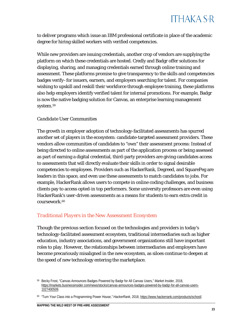to deliver programs which issue an IBM professional certificate in place of the academic degree for hiring skilled workers with verified competencies.

While new providers are issuing credentials, another crop of vendors are supplying the platform on which these credentials are hosted. Credly and Badgr offer solutions for displaying, sharing, and managing credentials earned through online training and assessment. These platforms promise to give transparency to the skills and competencies badges verify–for issuers, earners, and employers searching for talent. For companies wishing to upskill and reskill their workforce through employee training, these platforms also help employers identify verified talent for internal promotions. For example, Badgr is now the native badging solution for Canvas, an enterprise learning management system.[59](#page-23-1)

#### *Candidate User Communities*

The growth in employer adoption of technology-facilitated assessments has spurred another set of players in the ecosystem: candidate-targeted assessment providers. These vendors allow communities of candidates to "own" their assessment process: Instead of being directed to online assessments as part of the application process or being assessed as part of earning a digital credential, third-party providers are giving candidates access to assessments that will directly evaluate their skills in order to signal desirable competencies to employees. Providers such as HackerRank, Degreed, and SquarePeg are leaders in this space, and even use these assessments to match candidates to jobs. For example, HackerRank allows users to compete in online coding challenges, and business clients pay to access opted-in top performers. Some university professors are even using HackerRank's user-driven assessments as a means for students to earn extra credit in coursework.<sup>[60](#page-23-2)</sup>

#### <span id="page-23-0"></span>*Traditional Players in the New Assessment Ecosystem*

Though the previous section focused on the technologies and providers in today's technology-facilitated assessment ecosystem, traditional intermediaries such as higher education, industry associations, and government organizations still have important roles to play. However, the relationships between intermediaries and employers have become precariously misaligned in the new ecosystem, as siloes continue to deepen at the speed of new technology entering the marketplace.

<span id="page-23-1"></span><sup>59</sup> Becky Frost, "Canvas Announces Badges Powered by Badgr for All Canvas Users," *Market Insider,* 2018, [https://markets.businessinsider.com/news/stocks/canvas-announces-badges-powered-by-badgr-for-all-canvas-users-](https://markets.businessinsider.com/news/stocks/canvas-announces-badges-powered-by-badgr-for-all-canvas-users-1027400509)[1027400509.](https://markets.businessinsider.com/news/stocks/canvas-announces-badges-powered-by-badgr-for-all-canvas-users-1027400509) 

<span id="page-23-2"></span><sup>60</sup> "Turn Your Class into a Programming Power House," *HackerRank*, 2018, [https://www.hackerrank.com/products/school/.](https://www.hackerrank.com/products/school/)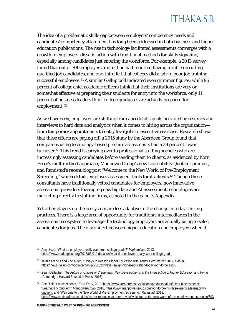The idea of a problematic skills gap between employers' competency needs and candidates' competency attainment has long been addressed in both business and higher education publications. The rise in technology-facilitated assessments converges with a growth in employers' dissatisfaction with traditional methods for skills signaling, especially among candidates just entering the workforce. For example, a 2013 survey found that out of 700 employers, more than half reported having trouble recruiting qualified job candidates, and one-third felt that colleges did a fair to poor job training successful employees.<sup>[61](#page-24-0)</sup> A similar Gallup poll indicated even grimmer figures: while 96 percent of college chief academic officers think that their institutions are very or somewhat effective at preparing their students for entry into the workforce, only 11 percent of business leaders think college graduates are actually prepared for employment.<sup>[62](#page-24-1)</sup>

As we have seen, employers are shifting from anecdotal signals provided by resumes and interviews to hard data and analytics when it comes to hiring across the organization from temporary appointments to entry level jobs to executive searches. Research shows that these efforts are paying off; a 2015 study by the Aberdeen Group found that companies using technology-based pre-hire assessments had a 39 percent lower turnover.[63](#page-24-2) This trend is carrying over to professional staffing agencies who are increasingly assessing candidates before sending them to clients, as evidenced by Korn Ferry's multimethod approach, ManpowerGroup's new Learnability Quotient product, and Randstad's recent blog post "Welcome to the New World of Pre-Employment Screening," which details employer assessment tools for its clients.<sup>64</sup> Though these consultants have traditionally vetted candidates for employers, now innovative assessment providers leveraging new big data and AI assessment technologies are marketing directly to staffing firms, as noted in the paper's Appendix.

Yet other players on the ecosystem are less adaptive to the change in today's hiring practices. There is a large area of opportunity for traditional intermediaries in the assessment ecosystem to leverage the technology employers are actually using to select candidates for jobs. The disconnect between higher education and employers when it

<span id="page-24-0"></span><sup>61</sup> Amy Scott, "What do employers really want from college grads?" *Marketplace,* 2013, [https://www.marketplace.org/2013/03/01/education/what-do-employers-really-want-college-grads.](https://www.marketplace.org/2013/03/01/education/what-do-employers-really-want-college-grads) 

<span id="page-24-1"></span><sup>62</sup> Jaimie Francis and Zac Auter, "3 Ways to Realign Higher Education with Today's Workforce" 2017, *Gallup*, [https://news.gallup.com/opinion/gallup/212522/ways-realign-higher-education-today-workforce.aspx.](https://news.gallup.com/opinion/gallup/212522/ways-realign-higher-education-today-workforce.aspx) 

<span id="page-24-2"></span><sup>63</sup> Sean Gallagher, *The Future of University Credentials: New Developments at the Intersection of Higher Education and Hiring* (Cambridge: Harvard Education Press, 2016)*.*

<span id="page-24-3"></span><sup>64</sup> See "Talent Assessments," *Korn Ferry*, 2018, [https://www.kornferry.com/solutions/products/talent/talent-assessments;](https://www.kornferry.com/solutions/products/talent/talent-assessments)  "Learnability Quotient," *ManpowerGroup,* 2018[, https://www.manpowergroup.com/workforce-insights/expertise/learnability](https://www.manpowergroup.com/workforce-insights/expertise/learnability-quotient)[quotient;](https://www.manpowergroup.com/workforce-insights/expertise/learnability-quotient) and "Welcome to the New World of Pre-Employment Screening," *Randstad,* 2018, [https://www.randstadusa.com/jobs/career-resources/career-advice/welcome-to-the-new-world-of-pre-employment-screening/593.](https://www.randstadusa.com/jobs/career-resources/career-advice/welcome-to-the-new-world-of-pre-employment-screening/593)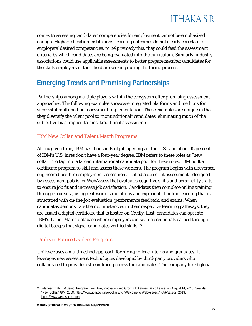

comes to assessing candidates' competencies for employment cannot be emphasized enough. Higher education institutions' learning outcomes do not clearly correlate to employers' desired competencies; to help remedy this, they could feed the assessment criteria by which candidates are being evaluated into the curriculum. Similarly, industry associations could use applicable assessments to better prepare member candidates for the skills employers in their field are seeking during the hiring process.

### <span id="page-25-0"></span>**Emerging Trends and Promising Partnerships**

Partnerships among multiple players within the ecosystem offer promising assessment approaches. The following examples showcase integrated platforms and methods for successful multimethod assessment implementation. These examples are unique in that they diversify the talent pool to "nontraditional" candidates, eliminating much of the subjective bias implicit to most traditional assessments.

#### <span id="page-25-1"></span>*IBM New Collar and Talent Match Programs*

At any given time, IBM has thousands of job openings in the U.S., and about 15 percent of IBM's U.S. hires don't have a four-year degree. IBM refers to these roles as "new collar." To tap into a larger, international candidate pool for these roles, IBM built a certificate program to skill and assess these workers. The program begins with a reversed engineered pre-hire employment assessment—called a career fit assessment—designed by assessment publisher WebAssess that evaluates cognitive skills and personality traits to ensure job fit and increase job satisfaction. Candidates then complete online training through Coursera, using real-world simulations and experiential online learning that is structured with on-the-job evaluation, performance feedback, and exams. When candidates demonstrate their competencies in their respective learning pathways, they are issued a digital certificate that is hosted on Credly. Last, candidates can opt into IBM's Talent Match database where employers can search credentials earned through digital badges that signal candidates verified skills.<sup>[65](#page-25-3)</sup>

#### <span id="page-25-2"></span>*Unilever Future Leaders Program*

Unilever uses a multimethod approach for hiring college interns and graduates. It leverages new assessment technologies developed by third-party providers who collaborated to provide a streamlined process for candidates. The company hired global

<span id="page-25-3"></span><sup>65</sup> Interview with IBMSenior Program Executive, Innovation and Growth Initiatives David Leaser on August 14, 2018. See also "New Collar," *IBM*, 2018[, https://www.ibm.com/newcollar](https://www.ibm.com/newcollar) and "Welcome to WebAssess," *WebAssess*, 2018, [https://www.webassess.com/.](https://www.webassess.com/)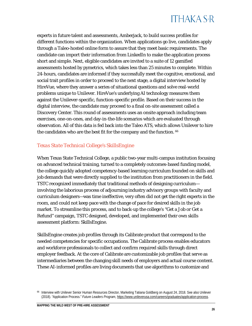## **ITHAKA S-R**

experts in future talent and assessments, Amberjack, to build success profiles for different functions within the organization. When applications go live, candidates apply through a Taleo-hosted online form to assure that they meet basic requirements. The candidate can import their information from LinkedIn to make the application process short and simple. Next, eligible candidates are invited to a suite of 12 gamified assessments hosted by pymetrics, which takes less than 25 minutes to complete. Within 24-hours, candidates are informed if they successfully meet the cognitive, emotional, and social trait profiles in order to proceed to the next stage, a digital interview hosted by HireVue, where they answer a series of situational questions and solve real-world problems unique to Unilever. HireVue's underlying AI technology measures them against the Unilever-specific, function-specific profile. Based on their success in the digital interview, the candidate may proceed to a final on-site assessment called a Discovery Center. This round of assessments uses an onsite approach including team exercises, one-on-ones, and day-in-the-life scenarios which are evaluated through observation. All of this data is fed back into the Taleo ATS, which allows Unilever to hire the candidates who are the best fit for the company and the function. <sup>[66](#page-26-1)</sup>

#### <span id="page-26-0"></span>*Texas State Technical College's SkillsEngine*

When Texas State Technical College, a public two-year multi-campus institution focusing on advanced technical training, turned to a completely outcomes-based funding model, the college quickly adopted competency-based learning curriculum founded on skills and job demands that were directly supplied to the institution from practitioners in the field. TSTC recognized immediately that traditional methods of designing curriculum involving the laborious process of adjourning industry advisory groups with faculty and curriculum designers—was time ineffective, very often did not get the right experts in the room, and could not keep pace with the change of pace for desired skills in the job market. To streamline this process, and to back-up the college's "Get a Job or Get a Refund" campaign, TSTC designed, developed, and implemented their own skills assessment platform: SkillsEngine.

SkillsEngine creates job profiles through its Calibrate product that correspond to the needed competencies for specific occupations. The Calibrate process enables educators and workforce professionals to collect and confirm required skills through direct employer feedback. At the core of Calibrate are customizable job profiles that serve as intermediaries between the changing skill needs of employers and actual course content. These AI-informed profiles are living documents that use algorithms to customize and

<span id="page-26-1"></span><sup>66</sup> Interview with Unilever Senior Human Resources Director, Marketing Tatiana Goldberg on August 24, 2018. See also Unilever (2018). "Application Process." *Future Leaders Program,* <https://www.unileverusa.com/careers/graduates/application-process>*.*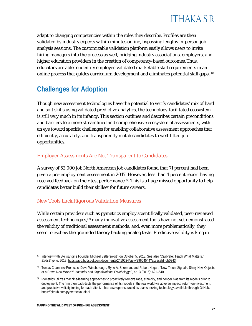

adapt to changing competencies within the roles they describe. Profiles are then validated by industry experts within minutes online, bypassing lengthy in-person job analysis sessions. The customizable validation platform easily allows users to invite hiring managers into the process as well, bridging industry associations, employers, and higher education providers in the creation of competency-based outcomes.Thus, educators are able to identify employer-validated marketable skill requirements in an online process that guides curriculum development and eliminates potential skill gaps. <sup>[67](#page-27-3)</sup>

### <span id="page-27-0"></span>**Challenges for Adoption**

Though new assessment technologies have the potential to verify candidates' mix of hard and soft skills using validated predictive analytics, the technology-facilitated ecosystem is still very much in its infancy. This section outlines and describes certain preconditions and barriers to a more streamlined and comprehensive ecosystem of assessments, with an eye toward specific challenges for enabling collaborative assessment approaches that efficiently, accurately, and transparently match candidates to well-fitted job opportunities.

#### <span id="page-27-1"></span>*Employer Assessments Are Not Transparent to Candidates*

A survey of 52,000 job North American job candidates found that 71 percent had been given a pre-employment assessment in 2017. However, less than 4 percent report having received feedback on their test performance.<sup>[68](#page-27-4)</sup> This is a huge missed opportunity to help candidates better build their skillset for future careers.

#### <span id="page-27-2"></span>*New Tools Lack Rigorous Validation Measures*

While certain providers such as pymetrics employ scientifically validated, peer-reviewed assessment technologies,<sup>[69](#page-27-5)</sup> many innovative assessment tools have not yet demonstrated the validity of traditional assessment methods, and, even more problematically, they seem to eschew the grounded theory backing analog tests. Predictive validity is king in

<span id="page-27-3"></span><sup>&</sup>lt;sup>67</sup> Interview with SkillsEngine Founder Michael Bettersworth on October 5, 2018. See also "Calibrate: Teach What Matters," *SkillsEngine*, 2018[, https://app.hubspot.com/documents/2410624/view/29604544?accessId=db0243.](https://app.hubspot.com/documents/2410624/view/29604544?accessId=db0243)

<span id="page-27-4"></span><sup>68</sup> Tomas Chamorro-Premuzic, Dave Winsborough, Ryne A. Sherman, and Robert Hogan, "New Talent Signals: Shiny New Objects or a Brave New World?" *Industrial and Organizational Psychology* 9, no. 3 (2016): 621–640.

<span id="page-27-5"></span><sup>&</sup>lt;sup>69</sup> Pymetrics utilizes machine-learning approaches to proactively remove race, ethnicity, and gender bias from its models prior to deployment. The firm then back-tests the performance of its models in the real world via adverse impact, return-on-investment, and predictive validity testing for each client. It has also open-sourced its bias-checking technology, available through GitHub: [https://github.com/pymetrics/audit-ai.](https://github.com/pymetrics/audit-ai)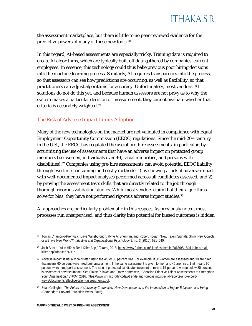

the assessment marketplace, but there is little to no peer-reviewed evidence for the predictive powers of many of these new tools.[70](#page-28-1)

In this regard, AI-based assessments are especially tricky. Training data is required to create AI algorithms, which are typically built off data gathered by companies' current employees. In essence, this technology could thus bake previous poor hiring decisions into the machine learning process. Similarly, AI requires transparency into the process, so that assessors can see how predictions are occurring, as well as flexibility, so that practitioners can adjust algorithms for accuracy. Unfortunately, most vendors' AI solutions do not do this yet, and because human assessors are not privy as to *why* the system makes a particular decision or measurement, they cannot evaluate whether that criteria is accurately weighted.[71](#page-28-2)

#### <span id="page-28-0"></span>*The Risk of Adverse Impact Limits Adoption*

Many of the new technologies on the market are not validated in compliance with Equal Employment Opportunity Commission (EEOC) regulations. Since the mid-20<sup>th</sup> century in the U.S., the EEOC has regulated the use of pre-hire assessments, in particular, by scrutinizing the use of assessments that have an adverse impact on protected group members (i.e. women, individuals over 40, racial minorities, and persons with disabilities).[72](#page-28-3) Companies using pre-hire assessments can avoid potential EEOC liability through two time-consuming and costly methods: 1) by showing a lack of adverse impact with well-documented impact analyses performed across all candidates assessed; and 2) by proving the assessment tests skills that are directly related to the job through thorough rigorous validation studies. While most vendors claim that their algorithms solve for bias, they have not performed rigorous adverse impact studies.<sup>[73](#page-28-4)</sup>

AI approaches are particularly problematic in this respect. As previously noted, most processes run unsupervised, and thus clarity into potential for biased outcomes is hidden

<span id="page-28-1"></span><sup>70</sup> Tomas Chamorro-Premuzic, Dave Winsborough, Ryne A. Sherman, and Robert Hogan, "New Talent Signals: Shiny New Objects or a Brave New World?" *Industrial and Organizational Psychology* 9, no. 3 (2016): 621–640.

<span id="page-28-2"></span><sup>71</sup> Josh Bersin, "AI in HR: A Real Killer App," *Forbes*, 2018[: https://www.forbes.com/sites/joshbersin/2018/06/18/ai-in-hr-a-real](https://www.forbes.com/sites/joshbersin/2018/06/18/ai-in-hr-a-real-killer-app/#dac3d6748f1e)[killer-app/#dac3d6748f1e.](https://www.forbes.com/sites/joshbersin/2018/06/18/ai-in-hr-a-real-killer-app/#dac3d6748f1e) 

<span id="page-28-3"></span> $72$  Adverse impact is usually calculated using the  $4/5$  or 80 percent rule. For example, if 50 women are assessed and 30 are hired, that means 60 percent were hired post assessment. If the same assessment is given to men and 45 are hired, that means 90 percent were hired post assessment. The ratio of protected candidates (women) to men is 67 percent. A ratio below 80 percent is evidence of adverse impact. See Elaine Pulakos and Tracy Kantrowitz, "Choosing Effective Talent Assessments to Strengthen Your Organization," SHRM, 2016[, https://www.shrm.org/hr-today/trends-and-forecasting/special-reports-and-expert](https://www.shrm.org/hr-today/trends-and-forecasting/special-reports-and-expert-views/documents/effective-talent-assessments.pdf)[views/documents/effective-talent-assessments.pdf.](https://www.shrm.org/hr-today/trends-and-forecasting/special-reports-and-expert-views/documents/effective-talent-assessments.pdf) 

<span id="page-28-4"></span><sup>73</sup> Sean Gallagher, *The Future of University Credentials: New Developments at the Intersection of Higher Education and Hiring* (Cambridge: Harvard Education Press, 2016)*.*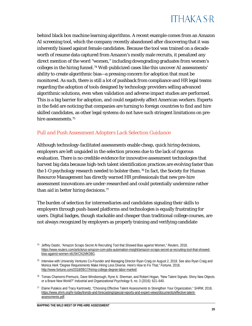behind black box machine learning algorithms. A recent example comes from an Amazon AI screening tool, which the company recently abandoned after discovering that it was inherently biased against female candidates. Because the tool was trained on a decadeworth of resume data captured from Amazon's mostly male recruits, it penalized any direct mention of the word "women," including downgrading graduates from women's colleges in the hiring funnel.[74](#page-29-1) Well-publicized cases like this uncover AI assessments' ability to create algorithmic bias—a pressing concern for adoption that must be monitored. As such, there is still a lot of pushback from compliance and HR legal teams regarding the adoption of tools designed by technology providers selling advanced algorithmic solutions, even when validation and adverse impact studies are performed. This is a big barrier for adoption, and could negatively affect American workers. Experts in the field are noticing that companies are turning to foreign countries to find and hire skilled candidates, as other legal systems do not have such stringent limitations on pre-hire assessments.<sup>[75](#page-29-2)</sup>

#### <span id="page-29-0"></span>*Pull and Push Assessment Adopters Lack Selection Guidance*

Although technology-facilitated assessments enable cheap, quick hiring decisions, employers are left unguided in the selection process due to the lack of rigorous evaluation. There is no credible evidence for innovative assessment technologies that harvest big data because high-tech talent identification practices are evolving faster than the I-O psychology research needed to bolster them.[76](#page-29-3) In fact, the Society for Human Resource Management has directly warned HR professionals that new pre-hire assessment innovations are under-researched and could potentially undermine rather than aid in better hiring decisions.<sup>[77](#page-29-4)</sup>

The burden of selection for intermediaries and candidates signaling their skills to employers through push-based platforms and technologies is equally frustrating for users. Digital badges, though stackable and cheaper than traditional college courses, are not always recognized by employers as properly training and verifying candidate

<span id="page-29-4"></span><sup>77</sup> Elaine Pulakos and Tracy Kantrowitz, "Choosing Effective Talent Assessments to Strengthen Your Organization," *SHRM*, 2018, [https://www.shrm.org/hr-today/trends-and-forecasting/special-reports-and-expert-views/documents/effective-talent](https://www.shrm.org/hr-today/trends-and-forecasting/special-reports-and-expert-views/documents/effective-talent-assessments.pdf)[assessments.pdf.](https://www.shrm.org/hr-today/trends-and-forecasting/special-reports-and-expert-views/documents/effective-talent-assessments.pdf)

<span id="page-29-1"></span><sup>74</sup> Jeffrey Dastin, "Amazon Scraps Secret AI Recruiting Tool that Showed Bias against Women," *Reuters*, 2018, [https://www.reuters.com/article/us-amazon-com-jobs-automation-insight/amazon-scraps-secret-ai-recruiting-tool-that-showed](https://www.reuters.com/article/us-amazon-com-jobs-automation-insight/amazon-scraps-secret-ai-recruiting-tool-that-showed-bias-against-women-idUSKCN1MK08G)[bias-against-women-idUSKCN1MK08G.](https://www.reuters.com/article/us-amazon-com-jobs-automation-insight/amazon-scraps-secret-ai-recruiting-tool-that-showed-bias-against-women-idUSKCN1MK08G)

<span id="page-29-2"></span><sup>75</sup> Interview with University Ventures Co-Founder and Managing Director Ryan Craig on August 2, 2018. See also Ryan Craig and Monica Herk "Degree Requirements Make Hiring Less Diverse. Here's How to Fix That," *Fortune*, 2018, [http://www.fortune.com/2018/09/17/hiring-college-degree-labor-market/.](http://www.fortune.com/2018/09/17/hiring-college-degree-labor-market/) 

<span id="page-29-3"></span><sup>76</sup> Tomas Chamorro-Premuzic, Dave Winsborough, Ryne A. Sherman, and Robert Hogan, "New Talent Signals: Shiny New Objects or a Brave New World?" *Industrial and Organizational Psychology* 9, no. 3 (2016): 621–640.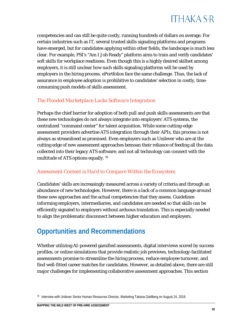

competencies and can still be quite costly, running hundreds of dollars on average. For certain industries such as IT, several trusted skills signaling platforms and programs have emerged, but for candidates applying within other fields, the landscape is much less clear. For example, PSI's "Am I Job Ready" platform aims to train and verify candidates' soft skills for workplace readiness. Even though this is a highly desired skillset among employers, it is still unclear how such skills signaling platforms will be used by employers in the hiring process. ePortfolios face the same challenge. Thus, the lack of assurance in employee adoption is prohibitive to candidates' selection in costly, timeconsuming push models of skills assessment.

#### <span id="page-30-0"></span>*The Flooded Marketplace Lacks Software Integration*

Perhaps the chief barrier for adoption of both pull and push skills assessments are that these new technologies do not always integrate into employers' ATS systems, the centralized "command center" for talent acquisition. While some cutting-edge assessment providers advertise ATS integration through their APIs, this process is not always as streamlined as promised. Even employers such as Unilever who are at the cutting edge of new assessment approaches bemoan their reliance of feeding all the data collected into their legacy ATS software; and not all technology can connect with the multitude of ATS options equally. [78](#page-30-3)

#### <span id="page-30-1"></span>*Assessment Content is Hard to Compare Within the Ecosystem*

Candidates' skills are increasingly measured across a variety of criteria and through an abundance of new technologies. However, there is a lack of a common language around these new approaches and the actual competencies that they assess. Guidelines informing employers, intermediaries, and candidates are needed so that skills can be efficiently signaled to employers without arduous translation. This is especially needed to align the problematic disconnect between higher education and employers.

### <span id="page-30-2"></span>**Opportunities and Recommendations**

Whether utilizing AI-powered gamified assessments, digital interviews scored by success profiles, or online simulations that provide realistic job previews, technology-facilitated assessments promise to streamline the hiring process, reduce employee turnover, and find well-fitted career matches for candidates. However, as detailed above, there are still major challenges for implementing collaborative assessment approaches. This section

<span id="page-30-3"></span><sup>78</sup> Interview with Unilever Senior Human Resources Director, Marketing Tatiana Goldberg on August 24, 2018.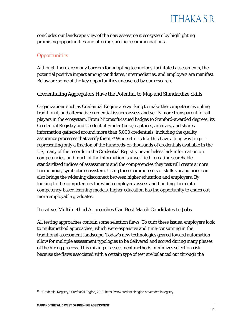concludes our landscape view of the new assessment ecosystem by highlighting promising opportunities and offering specific recommendations.

#### <span id="page-31-0"></span>*Opportunities*

Although there are many barriers for adopting technology-facilitated assessments, the potential positive impact among candidates, intermediaries, and employers are manifest. Below are some of the key opportunities uncovered by our research.

#### Credentialing Aggregators Have the Potential to Map and Standardize Skills

Organizations such as Credential Engine are working to make the competencies online, traditional, and alternative credential issuers assess and verify more transparent for all players in the ecosystem. From Microsoft-issued badges to Stanford-awarded degrees, its Credential Registry and Credential Finder (beta) captures, archives, and shares information gathered around more than 5,000 credentials, including the quality assurance processes that verify them.[79](#page-31-1) While efforts like this have a long way to go representing only a fraction of the hundreds-of-thousands of credentials available in the US, many of the records in the Credential Registry nevertheless lack information on competencies, and much of the information is unverified—creating searchable, standardized indices of assessments and the competencies they test will create a more harmonious, symbiotic ecosystem. Using these common sets of skills vocabularies can also bridge the widening disconnect between higher education and employers. By looking to the competencies for which employers assess and building them into competency-based learning models, higher education has the opportunity to churn out more employable graduates.

#### Iterative, Multimethod Approaches Can Best Match Candidates to Jobs

All testing approaches contain some selection flaws. To curb these issues, employers look to multimethod approaches, which were expensive and time-consuming in the traditional assessment landscape. Today's new technologies geared toward automation allow for multiple assessment typologies to be delivered and scored during many phases of the hiring process. This mixing of assessment methods minimizes selection risk because the flaws associated with a certain type of test are balanced out through the

<span id="page-31-1"></span><sup>79</sup> "Credential Registry," *Credential Engine*, 2018, [https://www.credentialengine.org/credentialregistry.](https://www.credentialengine.org/credentialregistry)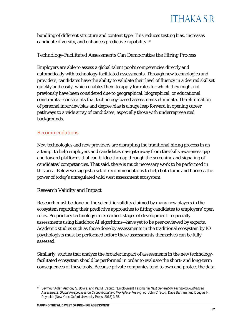

bundling of different structure and content type. This reduces testing bias, increases candidate diversity, and enhances predictive capability.[80](#page-32-1)

#### Technology-Facilitated Assessments Can Democratize the Hiring Process

Employers are able to assess a global talent pool's competencies directly and automatically with technology-facilitated assessments. Through new technologies and providers, candidates have the ability to validate their level of fluency in a desired skillset quickly and easily, which enables them to apply for roles for which they might not previously have been considered due to geographical, biographical, or educational constraints—constraints that technology-based assessments eliminate. The elimination of personal interview bias and degree bias is a huge leap forward in opening career pathways to a wide array of candidates, especially those with underrepresented backgrounds.

#### <span id="page-32-0"></span>*Recommendations*

New technologies and new providers are disrupting the traditional hiring process in an attempt to help employers and candidates navigate away from the skills awareness gap and toward platforms that can bridge the gap through the screening and signaling of candidates' competencies. That said, there is much necessary work to be performed in this area. Below we suggest a set of recommendations to help both tame and harness the power of today's unregulated wild west assessment ecosystem.

#### Research Validity and Impact

Research must be done on the scientific validity claimed by many new players in the ecosystem regarding their predictive approaches to fitting candidates to employers' open roles. Proprietary technology in its earliest stages of development—especially assessments using black box AI algorithms—have yet to be peer-reviewed by experts. Academic studies such as those done by assessments in the traditional ecosystem by IO psychologists must be performed before these assessments themselves can be fully assessed.

Similarly, studies that analyze the broader impact of assessments in the new technologyfacilitated ecosystem should be performed in order to evaluate the short- and long-term consequences of these tools. Because private companies tend to own and protect the data

<span id="page-32-1"></span><sup>80</sup> Seymour Adler, Anthony S. Boyce, and Pat M. Caputo, "Employment Testing," in *Next Generation Technology-Enhanced Assessment: Global Perspectives on Occupational and Workplace Testing*, ed. John C. Scott, Dave Bartram, and Douglas H. Reynolds (New York: Oxford University Press, 2018) 3-35.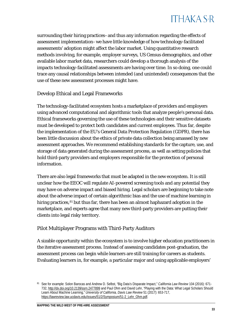

surrounding their hiring practices–and thus any information regarding the effects of assessment implementation–we have little knowledge of how technology-facilitated assessments' adoption might affect the labor market. Using quantitative research methods involving, for example, employer surveys, US Census demographics, and other available labor market data, researchers could develop a thorough analysis of the impacts technology-facilitated assessments are having over time. In so doing, one could trace any causal relationships between intended (and unintended) consequences that the use of these new assessment processes might have.

#### Develop Ethical and Legal Frameworks

The technology-facilitated ecosystem hosts a marketplace of providers and employers using advanced computational and algorithmic tools that analyze people's personal data. Ethical frameworks governing the use of these technologies and their sensitive datasets must be developed to protect both candidates and current employees. Thus far, despite the implementation of the EU's General Data Protection Regulation (GDPR), there has been little discussion about the ethics of private data collection being amassed by new assessment approaches. We recommend establishing standards for the capture, use, and storage of data generated during the assessment process, as well as setting policies that hold third-party providers and employers responsible for the protection of personal information.

There are also legal frameworks that must be adapted in the new ecosystem. It is still unclear how the EEOC will regulate AI-powered screening tools and any potential they may have on adverse impact and biased hiring. Legal scholars are beginning to take note about the adverse impact of certain algorithmic bias and the use of machine learning in hiring practices,<sup>[81](#page-33-0)</sup> but thus far, there has been an almost haphazard adoption in the marketplace, and experts agree that many new third-party providers are putting their clients into legal risky territory.

#### Pilot Multiplayer Programs with Third-Party Auditors

A sizable opportunity within the ecosystem is to involve higher education practitioners in the iterative assessment process. Instead of assessing candidates post-graduation, the assessment process can begin while learners are still training for careers as students. Evaluating learners in, for example, a particular major and using applicable employers'

<span id="page-33-0"></span><sup>81</sup> See for example: Solon Barocas and Andrew D. Selbst, "Big Data's Disparate Impact," *California Law Review* 104 (2016): 671- 732[, http://dx.doi.org/10.2139/ssrn.2477899](http://dx.doi.org/10.2139/ssrn.2477899) and Paul Ohm and David Lehr, "Playing with the Data: What Legal Scholars Should Learn About Machine Learning," *University of California, Davis Law Review* 51 (2017): 653-717, [https://lawreview.law.ucdavis.edu/issues/51/2/Symposium/51-2\\_Lehr\\_Ohm.pdf.](https://lawreview.law.ucdavis.edu/issues/51/2/Symposium/51-2_Lehr_Ohm.pdf)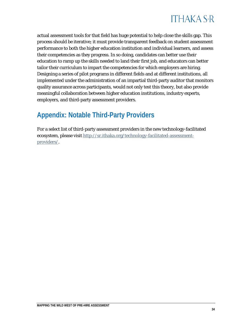

actual assessment tools for that field has huge potential to help close the skills gap. This process should be iterative; it must provide transparent feedback on student assessment performance to both the higher education institution and individual learners, and assess their competencies as they progress. In so doing, candidates can better use their education to ramp up the skills needed to land their first job, and educators can better tailor their curriculum to impart the competencies for which employers are hiring. Designing a series of pilot programs in different fields and at different institutions, all implemented under the administration of an impartial third-party auditor that monitors quality assurance across participants, would not only test this theory, but also provide meaningful collaboration between higher education institutions, industry experts, employers, and third-party assessment providers.

### <span id="page-34-0"></span>**Appendix: Notable Third-Party Providers**

For a select list of third-party assessment providers in the new technology-facilitated ecosystem, please visi[t http://sr.ithaka.org/technology-facilitated-assessment](http://sr.ithaka.org/technology-facilitated-assessment-providers/)[providers/.](http://sr.ithaka.org/technology-facilitated-assessment-providers/)